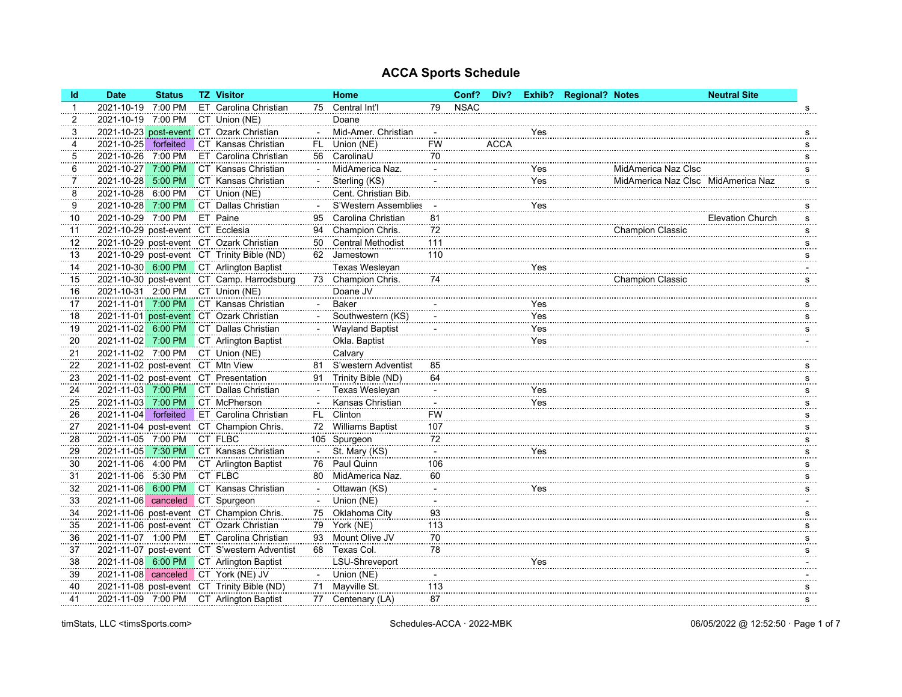| <b>Id</b> | <b>Date</b>                       | <b>Status</b> | <b>TZ Visitor</b>                            |        | Home                   |                          | Conf?       | Div?        |     | Exhib? Regional? Notes |                                    | <b>Neutral Site</b>     |          |
|-----------|-----------------------------------|---------------|----------------------------------------------|--------|------------------------|--------------------------|-------------|-------------|-----|------------------------|------------------------------------|-------------------------|----------|
| -1        | 2021-10-19                        | 7:00 PM       | ET Carolina Christian                        |        | 75 Central Int'l       | 79                       | <b>NSAC</b> |             |     |                        |                                    |                         | s        |
| 2         | 2021-10-19 7:00 PM                |               | CT Union (NE)                                |        | Doane                  |                          |             |             |     |                        |                                    |                         |          |
| 3         |                                   |               | 2021-10-23 post-event CT Ozark Christian     |        | Mid-Amer. Christian    |                          |             |             | Yes |                        |                                    |                         | s        |
| 4         | 2021-10-25                        | forfeited     | CT Kansas Christian                          | FL.    | Union (NE)             | <b>FW</b>                |             | <b>ACCA</b> |     |                        |                                    |                         | s        |
| 5         | 2021-10-26                        | 7:00 PM       | ET Carolina Christian                        | 56     | CarolinaU              | 70                       |             |             |     |                        |                                    |                         | s        |
| 6         | 2021-10-27                        | 7:00 PM       | CT Kansas Christian                          |        | MidAmerica Naz.        |                          |             |             | Yes |                        | MidAmerica Naz Clsc                |                         | s        |
| 7         | 2021-10-28 5:00 PM                |               | CT Kansas Christian                          |        | Sterling (KS)          |                          |             |             | Yes |                        | MidAmerica Naz Clsc MidAmerica Naz |                         | s        |
| 8         | 2021-10-28                        | 6:00 PM       | CT Union (NE)                                |        | Cent. Christian Bib.   |                          |             |             |     |                        |                                    |                         |          |
| 9         | 2021-10-28 7:00 PM                |               | CT Dallas Christian                          |        | S'Western Assemblies   |                          |             |             | Yes |                        |                                    |                         | <u>s</u> |
| 10        | 2021-10-29                        | 7:00 PM       | ET Paine                                     | 95     | Carolina Christian     | 81                       |             |             |     |                        |                                    | <b>Elevation Church</b> | s        |
| 11        | 2021-10-29 post-event CT Ecclesia |               |                                              | 94     | Champion Chris.        | 72                       |             |             |     |                        | <b>Champion Classic</b>            |                         | s        |
| 12        |                                   |               | 2021-10-29 post-event CT Ozark Christian     |        | 50 Central Methodist   | 111                      |             |             |     |                        |                                    |                         | s        |
| 13        |                                   |               | 2021-10-29 post-event CT Trinity Bible (ND)  |        | 62 Jamestown           | 110                      |             |             |     |                        |                                    |                         | s        |
| 14        |                                   |               | 2021-10-30 6:00 PM CT Arlington Baptist      |        | Texas Wesleyan         |                          |             |             | Yes |                        |                                    |                         |          |
| 15        |                                   |               | 2021-10-30 post-event CT Camp. Harrodsburg   | 73     | Champion Chris.        | 74                       |             |             |     |                        | <b>Champion Classic</b>            |                         | s        |
| 16        | 2021-10-31 2:00 PM                |               | CT Union (NE)                                |        | Doane JV               |                          |             |             |     |                        |                                    |                         |          |
| 17        | 2021-11-01 7:00 PM                |               | CT Kansas Christian                          |        | <b>Baker</b>           |                          |             |             | Yes |                        |                                    |                         | s        |
| 18        |                                   |               | 2021-11-01 post-event CT Ozark Christian     |        | Southwestern (KS)      |                          |             |             | Yes |                        |                                    |                         | s        |
| 19        | 2021-11-02 6:00 PM                |               | CT Dallas Christian                          |        | <b>Wayland Baptist</b> |                          |             |             | Yes |                        |                                    |                         | s        |
| 20        |                                   |               | 2021-11-02 7:00 PM CT Arlington Baptist      |        | Okla. Baptist          |                          |             |             | Yes |                        |                                    |                         |          |
| 21        | 2021-11-02 7:00 PM                |               | CT Union (NE)                                |        | Calvary                |                          |             |             |     |                        |                                    |                         |          |
| 22        | 2021-11-02 post-event CT Mtn View |               |                                              | 81     | S'western Adventist    | 85                       |             |             |     |                        |                                    |                         | s        |
| 23        |                                   |               | 2021-11-02 post-event CT Presentation        | 91     | Trinity Bible (ND)     | 64                       |             |             |     |                        |                                    |                         | s        |
| 24        | 2021-11-03 7:00 PM                |               | CT Dallas Christian                          |        | Texas Wesleyan         | $\overline{\phantom{a}}$ |             |             | Yes |                        |                                    |                         | s        |
| 25        | 2021-11-03 7:00 PM                |               | CT McPherson                                 |        | Kansas Christian       |                          |             |             | Yes |                        |                                    |                         | s        |
| 26        | 2021-11-04                        | forfeited     | ET Carolina Christian                        |        | FL Clinton             | <b>FW</b>                |             |             |     |                        |                                    |                         | s        |
| 27        |                                   |               | 2021-11-04 post-event CT Champion Chris.     |        | 72 Williams Baptist    | 107                      |             |             |     |                        |                                    |                         | s        |
| 28        | 2021-11-05 7:00 PM                |               | CT FLBC                                      |        | 105 Spurgeon           | 72                       |             |             |     |                        |                                    |                         | s        |
| 29        |                                   |               | 2021-11-05 7:30 PM CT Kansas Christian       | $\sim$ | St. Mary (KS)          | $\blacksquare$           |             |             | Yes |                        |                                    |                         | s        |
| 30        | 2021-11-06 4:00 PM                |               | CT Arlington Baptist                         | 76     | Paul Quinn             | 106                      |             |             |     |                        |                                    |                         | s        |
| 31        | 2021-11-06 5:30 PM                |               | CT FLBC                                      |        | 80 MidAmerica Naz.     | 60                       |             |             |     |                        |                                    |                         | s        |
| 32        | 2021-11-06 6:00 PM                |               | CT Kansas Christian                          |        | Ottawan (KS)           | $\blacksquare$           |             |             | Yes |                        |                                    |                         | s        |
| 33        | 2021-11-06 canceled CT Spurgeon   |               |                                              |        | Union (NE)             | $\overline{\phantom{a}}$ |             |             |     |                        |                                    |                         |          |
| 34        |                                   |               | 2021-11-06 post-event CT Champion Chris.     | 75     | Oklahoma City          | 93                       |             |             |     |                        |                                    |                         | <u>s</u> |
| 35        |                                   |               | 2021-11-06 post-event CT Ozark Christian     |        | 79 York (NE)           | 113                      |             |             |     |                        |                                    |                         | s        |
| 36        | 2021-11-07 1:00 PM                |               | ET Carolina Christian                        | 93     | Mount Olive JV         | 70                       |             |             |     |                        |                                    |                         | s        |
| 37        |                                   |               | 2021-11-07 post-event CT S'western Adventist |        | 68 Texas Col.          | 78                       |             |             |     |                        |                                    |                         | s        |
| 38        |                                   |               | 2021-11-08 6:00 PM CT Arlington Baptist      |        | LSU-Shreveport         |                          |             |             | Yes |                        |                                    |                         |          |
| 39        |                                   |               | 2021-11-08 canceled CT York (NE) JV          |        | Union (NE)             |                          |             |             |     |                        |                                    |                         |          |
| 40        |                                   |               | 2021-11-08 post-event CT Trinity Bible (ND)  | 71     | Mayville St.           | 113                      |             |             |     |                        |                                    |                         | s        |
| 41        |                                   |               | 2021-11-09 7:00 PM CT Arlington Baptist      |        | 77 Centenary (LA)      | 87                       |             |             |     |                        |                                    |                         | s        |
|           |                                   |               |                                              |        |                        |                          |             |             |     |                        |                                    |                         |          |

timStats, LLC <timsSports.com> 06/05/2022 @ 12:52:50 · Page 1 of 7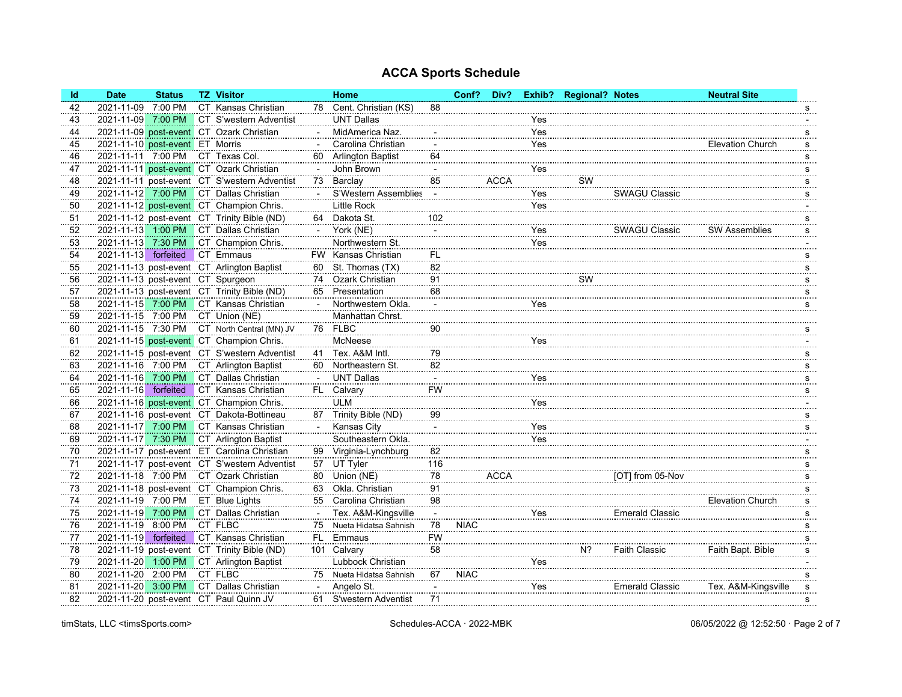| 2021-11-09<br>7:00 PM<br>CT Kansas Christian<br>Cent. Christian (KS)<br>88<br>42<br>78<br>s<br>CT S'western Adventist<br><b>UNT Dallas</b><br>2021-11-09<br>7:00 PM<br>43<br>Yes<br>2021-11-09 post-event CT Ozark Christian<br>MidAmerica Naz.<br>Yes<br>44<br>s<br>Yes<br>2021-11-10 post-event ET Morris<br>Carolina Christian<br><b>Elevation Church</b><br>45<br>s<br>2021-11-11 7:00 PM<br>CT Texas Col.<br><b>Arlington Baptist</b><br>64<br>46<br>60<br>s<br>John Brown<br>2021-11-11 post-event CT Ozark Christian<br>47<br>Yes<br>s<br><b>ACCA</b><br>2021-11-11 post-event CT S'western Adventist<br>Barclay<br>85<br>SW<br>73<br>48<br>s<br>2021-11-12 7:00 PM<br>CT Dallas Christian<br>S'Western Assemblies<br>Yes<br><b>SWAGU Classic</b><br>49<br>$\sim$<br>s<br>2021-11-12 post-event CT Champion Chris.<br><b>Little Rock</b><br><b>Yes</b><br>50<br>2021-11-12 post-event CT Trinity Bible (ND)<br>Dakota St.<br>102<br>51<br>64<br>s<br>2021-11-13 1:00 PM<br>CT Dallas Christian<br>York (NE)<br><b>SWAGU Classic</b><br><b>SW Assemblies</b><br>Yes<br>52<br>s<br>$\overline{a}$<br>2021-11-13 7:30 PM<br>CT Champion Chris.<br>Northwestern St.<br>53<br>Yes<br>2021-11-13 forfeited<br>CT Emmaus<br>FW Kansas Christian<br>FL.<br>54<br>s<br>2021-11-13 post-event CT Arlington Baptist<br>82<br>St. Thomas (TX)<br>55<br>60<br>s<br>2021-11-13 post-event CT Spurgeon<br>Ozark Christian<br>91<br>SW<br>56<br>74<br>s<br>2021-11-13 post-event CT Trinity Bible (ND)<br>68<br>Presentation<br>57<br>65<br>s<br>2021-11-15 7:00 PM<br>CT Kansas Christian<br>Northwestern Okla.<br>58<br>Yes<br>s<br>2021-11-15 7:00 PM<br>CT Union (NE)<br>Manhattan Chrst.<br>59<br>2021-11-15 7:30 PM<br>CT North Central (MN) JV<br><b>FLBC</b><br>90<br>60<br>76<br>s<br>2021-11-15 post-event CT Champion Chris.<br>McNeese<br><b>Yes</b><br>61<br>2021-11-15 post-event CT S'western Adventist<br>Tex. A&M Intl.<br>79<br>62<br>41<br>s |
|--------------------------------------------------------------------------------------------------------------------------------------------------------------------------------------------------------------------------------------------------------------------------------------------------------------------------------------------------------------------------------------------------------------------------------------------------------------------------------------------------------------------------------------------------------------------------------------------------------------------------------------------------------------------------------------------------------------------------------------------------------------------------------------------------------------------------------------------------------------------------------------------------------------------------------------------------------------------------------------------------------------------------------------------------------------------------------------------------------------------------------------------------------------------------------------------------------------------------------------------------------------------------------------------------------------------------------------------------------------------------------------------------------------------------------------------------------------------------------------------------------------------------------------------------------------------------------------------------------------------------------------------------------------------------------------------------------------------------------------------------------------------------------------------------------------------------------------------------------------------------------------------------------------------------------------------------------|
|                                                                                                                                                                                                                                                                                                                                                                                                                                                                                                                                                                                                                                                                                                                                                                                                                                                                                                                                                                                                                                                                                                                                                                                                                                                                                                                                                                                                                                                                                                                                                                                                                                                                                                                                                                                                                                                                                                                                                        |
|                                                                                                                                                                                                                                                                                                                                                                                                                                                                                                                                                                                                                                                                                                                                                                                                                                                                                                                                                                                                                                                                                                                                                                                                                                                                                                                                                                                                                                                                                                                                                                                                                                                                                                                                                                                                                                                                                                                                                        |
|                                                                                                                                                                                                                                                                                                                                                                                                                                                                                                                                                                                                                                                                                                                                                                                                                                                                                                                                                                                                                                                                                                                                                                                                                                                                                                                                                                                                                                                                                                                                                                                                                                                                                                                                                                                                                                                                                                                                                        |
|                                                                                                                                                                                                                                                                                                                                                                                                                                                                                                                                                                                                                                                                                                                                                                                                                                                                                                                                                                                                                                                                                                                                                                                                                                                                                                                                                                                                                                                                                                                                                                                                                                                                                                                                                                                                                                                                                                                                                        |
|                                                                                                                                                                                                                                                                                                                                                                                                                                                                                                                                                                                                                                                                                                                                                                                                                                                                                                                                                                                                                                                                                                                                                                                                                                                                                                                                                                                                                                                                                                                                                                                                                                                                                                                                                                                                                                                                                                                                                        |
|                                                                                                                                                                                                                                                                                                                                                                                                                                                                                                                                                                                                                                                                                                                                                                                                                                                                                                                                                                                                                                                                                                                                                                                                                                                                                                                                                                                                                                                                                                                                                                                                                                                                                                                                                                                                                                                                                                                                                        |
|                                                                                                                                                                                                                                                                                                                                                                                                                                                                                                                                                                                                                                                                                                                                                                                                                                                                                                                                                                                                                                                                                                                                                                                                                                                                                                                                                                                                                                                                                                                                                                                                                                                                                                                                                                                                                                                                                                                                                        |
|                                                                                                                                                                                                                                                                                                                                                                                                                                                                                                                                                                                                                                                                                                                                                                                                                                                                                                                                                                                                                                                                                                                                                                                                                                                                                                                                                                                                                                                                                                                                                                                                                                                                                                                                                                                                                                                                                                                                                        |
|                                                                                                                                                                                                                                                                                                                                                                                                                                                                                                                                                                                                                                                                                                                                                                                                                                                                                                                                                                                                                                                                                                                                                                                                                                                                                                                                                                                                                                                                                                                                                                                                                                                                                                                                                                                                                                                                                                                                                        |
|                                                                                                                                                                                                                                                                                                                                                                                                                                                                                                                                                                                                                                                                                                                                                                                                                                                                                                                                                                                                                                                                                                                                                                                                                                                                                                                                                                                                                                                                                                                                                                                                                                                                                                                                                                                                                                                                                                                                                        |
|                                                                                                                                                                                                                                                                                                                                                                                                                                                                                                                                                                                                                                                                                                                                                                                                                                                                                                                                                                                                                                                                                                                                                                                                                                                                                                                                                                                                                                                                                                                                                                                                                                                                                                                                                                                                                                                                                                                                                        |
|                                                                                                                                                                                                                                                                                                                                                                                                                                                                                                                                                                                                                                                                                                                                                                                                                                                                                                                                                                                                                                                                                                                                                                                                                                                                                                                                                                                                                                                                                                                                                                                                                                                                                                                                                                                                                                                                                                                                                        |
|                                                                                                                                                                                                                                                                                                                                                                                                                                                                                                                                                                                                                                                                                                                                                                                                                                                                                                                                                                                                                                                                                                                                                                                                                                                                                                                                                                                                                                                                                                                                                                                                                                                                                                                                                                                                                                                                                                                                                        |
|                                                                                                                                                                                                                                                                                                                                                                                                                                                                                                                                                                                                                                                                                                                                                                                                                                                                                                                                                                                                                                                                                                                                                                                                                                                                                                                                                                                                                                                                                                                                                                                                                                                                                                                                                                                                                                                                                                                                                        |
|                                                                                                                                                                                                                                                                                                                                                                                                                                                                                                                                                                                                                                                                                                                                                                                                                                                                                                                                                                                                                                                                                                                                                                                                                                                                                                                                                                                                                                                                                                                                                                                                                                                                                                                                                                                                                                                                                                                                                        |
|                                                                                                                                                                                                                                                                                                                                                                                                                                                                                                                                                                                                                                                                                                                                                                                                                                                                                                                                                                                                                                                                                                                                                                                                                                                                                                                                                                                                                                                                                                                                                                                                                                                                                                                                                                                                                                                                                                                                                        |
|                                                                                                                                                                                                                                                                                                                                                                                                                                                                                                                                                                                                                                                                                                                                                                                                                                                                                                                                                                                                                                                                                                                                                                                                                                                                                                                                                                                                                                                                                                                                                                                                                                                                                                                                                                                                                                                                                                                                                        |
|                                                                                                                                                                                                                                                                                                                                                                                                                                                                                                                                                                                                                                                                                                                                                                                                                                                                                                                                                                                                                                                                                                                                                                                                                                                                                                                                                                                                                                                                                                                                                                                                                                                                                                                                                                                                                                                                                                                                                        |
|                                                                                                                                                                                                                                                                                                                                                                                                                                                                                                                                                                                                                                                                                                                                                                                                                                                                                                                                                                                                                                                                                                                                                                                                                                                                                                                                                                                                                                                                                                                                                                                                                                                                                                                                                                                                                                                                                                                                                        |
|                                                                                                                                                                                                                                                                                                                                                                                                                                                                                                                                                                                                                                                                                                                                                                                                                                                                                                                                                                                                                                                                                                                                                                                                                                                                                                                                                                                                                                                                                                                                                                                                                                                                                                                                                                                                                                                                                                                                                        |
|                                                                                                                                                                                                                                                                                                                                                                                                                                                                                                                                                                                                                                                                                                                                                                                                                                                                                                                                                                                                                                                                                                                                                                                                                                                                                                                                                                                                                                                                                                                                                                                                                                                                                                                                                                                                                                                                                                                                                        |
| 2021-11-16 7:00 PM<br>CT Arlington Baptist<br>Northeastern St.<br>82<br>63<br>60<br>s                                                                                                                                                                                                                                                                                                                                                                                                                                                                                                                                                                                                                                                                                                                                                                                                                                                                                                                                                                                                                                                                                                                                                                                                                                                                                                                                                                                                                                                                                                                                                                                                                                                                                                                                                                                                                                                                  |
| 2021-11-16<br>7:00 PM<br>CT Dallas Christian<br><b>UNT Dallas</b><br>Yes<br>64<br>$\overline{\phantom{a}}$<br>s                                                                                                                                                                                                                                                                                                                                                                                                                                                                                                                                                                                                                                                                                                                                                                                                                                                                                                                                                                                                                                                                                                                                                                                                                                                                                                                                                                                                                                                                                                                                                                                                                                                                                                                                                                                                                                        |
| 2021-11-16<br>forfeited<br>CT Kansas Christian<br>Calvary<br><b>FW</b><br>FL.<br>65<br>s                                                                                                                                                                                                                                                                                                                                                                                                                                                                                                                                                                                                                                                                                                                                                                                                                                                                                                                                                                                                                                                                                                                                                                                                                                                                                                                                                                                                                                                                                                                                                                                                                                                                                                                                                                                                                                                               |
| <b>ULM</b><br>2021-11-16 post-event CT Champion Chris.<br>Yes<br>66                                                                                                                                                                                                                                                                                                                                                                                                                                                                                                                                                                                                                                                                                                                                                                                                                                                                                                                                                                                                                                                                                                                                                                                                                                                                                                                                                                                                                                                                                                                                                                                                                                                                                                                                                                                                                                                                                    |
| 87 Trinity Bible (ND)<br>2021-11-16 post-event CT Dakota-Bottineau<br>99<br>67<br>s                                                                                                                                                                                                                                                                                                                                                                                                                                                                                                                                                                                                                                                                                                                                                                                                                                                                                                                                                                                                                                                                                                                                                                                                                                                                                                                                                                                                                                                                                                                                                                                                                                                                                                                                                                                                                                                                    |
| 2021-11-17 7:00 PM CT Kansas Christian<br>Kansas City<br>Yes<br>68<br>s                                                                                                                                                                                                                                                                                                                                                                                                                                                                                                                                                                                                                                                                                                                                                                                                                                                                                                                                                                                                                                                                                                                                                                                                                                                                                                                                                                                                                                                                                                                                                                                                                                                                                                                                                                                                                                                                                |
| 2021-11-17 7:30 PM<br>CT Arlington Baptist<br>Southeastern Okla.<br>69<br><b>Yes</b>                                                                                                                                                                                                                                                                                                                                                                                                                                                                                                                                                                                                                                                                                                                                                                                                                                                                                                                                                                                                                                                                                                                                                                                                                                                                                                                                                                                                                                                                                                                                                                                                                                                                                                                                                                                                                                                                   |
| 2021-11-17 post-event ET Carolina Christian<br>Virginia-Lynchburg<br>82<br>99<br>70<br>s                                                                                                                                                                                                                                                                                                                                                                                                                                                                                                                                                                                                                                                                                                                                                                                                                                                                                                                                                                                                                                                                                                                                                                                                                                                                                                                                                                                                                                                                                                                                                                                                                                                                                                                                                                                                                                                               |
| 2021-11-17 post-event CT S'western Adventist<br>71<br>UT Tyler<br>116<br>57<br>s                                                                                                                                                                                                                                                                                                                                                                                                                                                                                                                                                                                                                                                                                                                                                                                                                                                                                                                                                                                                                                                                                                                                                                                                                                                                                                                                                                                                                                                                                                                                                                                                                                                                                                                                                                                                                                                                       |
| 2021-11-18 7:00 PM<br>CT Ozark Christian<br>Union (NE)<br>78<br><b>ACCA</b><br>[OT] from 05-Nov<br>72<br>80<br>s                                                                                                                                                                                                                                                                                                                                                                                                                                                                                                                                                                                                                                                                                                                                                                                                                                                                                                                                                                                                                                                                                                                                                                                                                                                                                                                                                                                                                                                                                                                                                                                                                                                                                                                                                                                                                                       |
| 2021-11-18 post-event CT Champion Chris.<br>91<br>Okla. Christian<br>73<br>63<br>s                                                                                                                                                                                                                                                                                                                                                                                                                                                                                                                                                                                                                                                                                                                                                                                                                                                                                                                                                                                                                                                                                                                                                                                                                                                                                                                                                                                                                                                                                                                                                                                                                                                                                                                                                                                                                                                                     |
| 2021-11-19 7:00 PM<br>ET Blue Lights<br>98<br>Carolina Christian<br><b>Elevation Church</b><br>74<br>55<br>s                                                                                                                                                                                                                                                                                                                                                                                                                                                                                                                                                                                                                                                                                                                                                                                                                                                                                                                                                                                                                                                                                                                                                                                                                                                                                                                                                                                                                                                                                                                                                                                                                                                                                                                                                                                                                                           |
| Emerald Classic<br>2021-11-19 7:00 PM<br>CT Dallas Christian<br>Tex. A&M-Kingsville<br>Yes<br>75<br>$\overline{a}$<br>$\overline{\phantom{a}}$<br>S                                                                                                                                                                                                                                                                                                                                                                                                                                                                                                                                                                                                                                                                                                                                                                                                                                                                                                                                                                                                                                                                                                                                                                                                                                                                                                                                                                                                                                                                                                                                                                                                                                                                                                                                                                                                    |
| 2021-11-19 8:00 PM<br>CT FLBC<br><b>NIAC</b><br>76<br>Nueta Hidatsa Sahnish<br>78<br>75<br>s                                                                                                                                                                                                                                                                                                                                                                                                                                                                                                                                                                                                                                                                                                                                                                                                                                                                                                                                                                                                                                                                                                                                                                                                                                                                                                                                                                                                                                                                                                                                                                                                                                                                                                                                                                                                                                                           |
| <b>FW</b><br>2021-11-19 forfeited<br>CT Kansas Christian<br>Emmaus<br>FL.<br>77<br>s                                                                                                                                                                                                                                                                                                                                                                                                                                                                                                                                                                                                                                                                                                                                                                                                                                                                                                                                                                                                                                                                                                                                                                                                                                                                                                                                                                                                                                                                                                                                                                                                                                                                                                                                                                                                                                                                   |
| 2021-11-19 post-event CT Trinity Bible (ND)<br>58<br>$N$ ?<br>101 Calvary<br><b>Faith Classic</b><br>Faith Bapt. Bible<br>78<br>s                                                                                                                                                                                                                                                                                                                                                                                                                                                                                                                                                                                                                                                                                                                                                                                                                                                                                                                                                                                                                                                                                                                                                                                                                                                                                                                                                                                                                                                                                                                                                                                                                                                                                                                                                                                                                      |
| CT Arlington Baptist<br>2021-11-20 1:00 PM<br>Lubbock Christian<br><b>Yes</b><br>79                                                                                                                                                                                                                                                                                                                                                                                                                                                                                                                                                                                                                                                                                                                                                                                                                                                                                                                                                                                                                                                                                                                                                                                                                                                                                                                                                                                                                                                                                                                                                                                                                                                                                                                                                                                                                                                                    |
| CT FLBC<br>2021-11-20 2:00 PM<br><b>NIAC</b><br>80<br>75 Nueta Hidatsa Sahnish<br>67<br>s                                                                                                                                                                                                                                                                                                                                                                                                                                                                                                                                                                                                                                                                                                                                                                                                                                                                                                                                                                                                                                                                                                                                                                                                                                                                                                                                                                                                                                                                                                                                                                                                                                                                                                                                                                                                                                                              |
| 2021-11-20 3:00 PM<br>CT Dallas Christian<br>Tex. A&M-Kingsville<br>Angelo St.<br><b>Yes</b><br><b>Emerald Classic</b><br>81<br>s                                                                                                                                                                                                                                                                                                                                                                                                                                                                                                                                                                                                                                                                                                                                                                                                                                                                                                                                                                                                                                                                                                                                                                                                                                                                                                                                                                                                                                                                                                                                                                                                                                                                                                                                                                                                                      |
| 2021-11-20 post-event CT Paul Quinn JV<br>82<br>61 S'western Adventist<br>71<br>s                                                                                                                                                                                                                                                                                                                                                                                                                                                                                                                                                                                                                                                                                                                                                                                                                                                                                                                                                                                                                                                                                                                                                                                                                                                                                                                                                                                                                                                                                                                                                                                                                                                                                                                                                                                                                                                                      |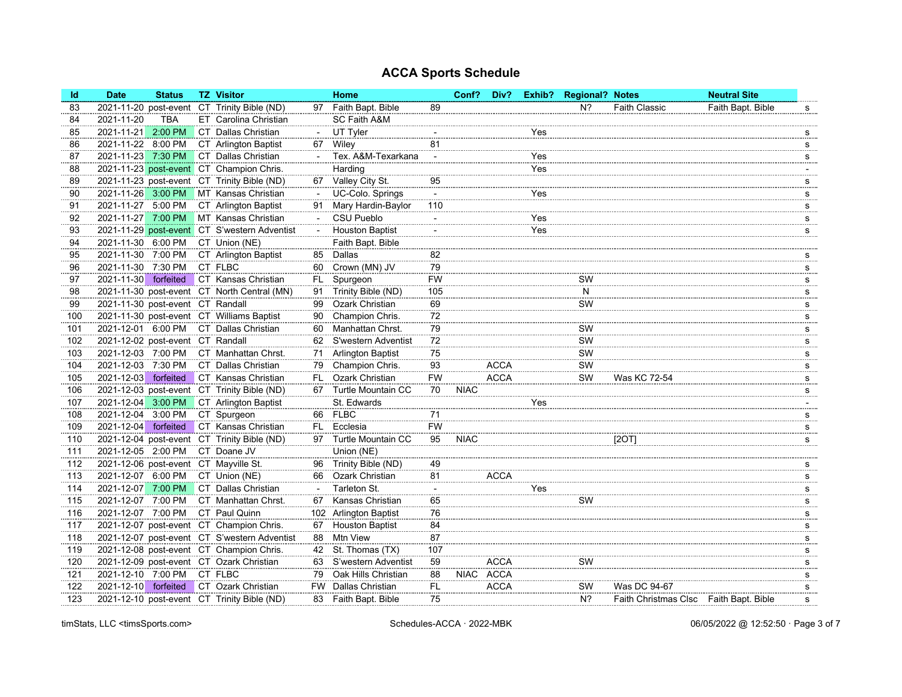| <b>Id</b> | <b>Date</b>                           | <b>Status</b> | <b>TZ Visitor</b>                            |     | Home                       |           | Conf?       | Div?        |     | Exhib? Regional? Notes |                                        | <b>Neutral Site</b> |                               |
|-----------|---------------------------------------|---------------|----------------------------------------------|-----|----------------------------|-----------|-------------|-------------|-----|------------------------|----------------------------------------|---------------------|-------------------------------|
| 83        |                                       |               | 2021-11-20 post-event CT Trinity Bible (ND)  |     | 97 Faith Bapt. Bible       | 89        |             |             |     | N <sup>2</sup>         | <b>Faith Classic</b>                   | Faith Bapt. Bible   | s                             |
| 84        | 2021-11-20                            | <b>TBA</b>    | ET Carolina Christian                        |     | SC Faith A&M               |           |             |             |     |                        |                                        |                     |                               |
| 85        | 2021-11-21 2:00 PM                    |               | CT Dallas Christian                          |     | UT Tyler                   |           |             |             | Yes |                        |                                        |                     | s                             |
| 86        | 2021-11-22 8:00 PM                    |               | CT Arlington Baptist                         |     | 67 Wiley                   | 81        |             |             |     |                        |                                        |                     | s                             |
| 87        | 2021-11-23 7:30 PM                    |               | CT Dallas Christian                          |     | Tex. A&M-Texarkana         |           |             |             | Yes |                        |                                        |                     | s                             |
| 88        |                                       |               | 2021-11-23 post-event CT Champion Chris.     |     | Harding                    |           |             |             | Yes |                        |                                        |                     |                               |
| 89        |                                       |               | 2021-11-23 post-event CT Trinity Bible (ND)  |     | 67 Valley City St.         | 95        |             |             |     |                        |                                        |                     | s                             |
| 90        | 2021-11-26 3:00 PM                    |               | MT Kansas Christian                          |     | UC-Colo. Springs           |           |             |             | Yes |                        |                                        |                     | s                             |
| 91        | 2021-11-27 5:00 PM                    |               | CT Arlington Baptist                         |     | 91 Mary Hardin-Baylor      | 110       |             |             |     |                        |                                        |                     | s                             |
| 92        |                                       |               | 2021-11-27 7:00 PM MT Kansas Christian       |     | <b>CSU Pueblo</b>          |           |             |             | Yes |                        |                                        |                     | S                             |
| 93        |                                       |               | 2021-11-29 post-event CT S'western Adventist |     | <b>Houston Baptist</b>     |           |             |             | Yes |                        |                                        |                     | s                             |
| 94        | 2021-11-30 6:00 PM                    |               | CT Union (NE)                                |     | Faith Bapt. Bible          |           |             |             |     |                        |                                        |                     |                               |
| 95        | 2021-11-30 7:00 PM                    |               | CT Arlington Baptist                         |     | 85 Dallas                  | 82        |             |             |     |                        |                                        |                     | s                             |
| 96        | 2021-11-30                            | 7:30 PM       | CT FLBC                                      | 60  | Crown (MN) JV              | 79        |             |             |     |                        |                                        |                     | s                             |
| 97        | 2021-11-30                            | forfeited     | CT Kansas Christian                          | FL. | Spurgeon                   | <b>FW</b> |             |             |     | SW                     |                                        |                     | s                             |
| 98        |                                       |               | 2021-11-30 post-event CT North Central (MN)  | 91  | Trinity Bible (ND)         | 105       |             |             |     | N                      |                                        |                     | s                             |
| 99        | 2021-11-30 post-event CT Randall      |               |                                              | 99  | Ozark Christian            | 69        |             |             |     | SW                     |                                        |                     | s                             |
| 100       |                                       |               | 2021-11-30 post-event CT Williams Baptist    | 90  | Champion Chris.            | 72        |             |             |     |                        |                                        |                     | s                             |
| 101       |                                       |               | 2021-12-01 6:00 PM CT Dallas Christian       | 60  | Manhattan Chrst.           | 79        |             |             |     | SW                     |                                        |                     | S                             |
| 102       | 2021-12-02 post-event CT Randall      |               |                                              | 62  | S'western Adventist        | 72        |             |             |     | SW                     |                                        |                     | s                             |
| 103       | 2021-12-03 7:00 PM                    |               | CT Manhattan Chrst.                          | 71  | <b>Arlington Baptist</b>   | 75        |             |             |     | SW                     |                                        |                     | s                             |
| 104       | 2021-12-03 7:30 PM                    |               | CT Dallas Christian                          |     | 79 Champion Chris.         | 93        |             | <b>ACCA</b> |     | SW                     |                                        |                     | s                             |
| 105       | 2021-12-03                            | forfeited     | CT Kansas Christian                          | FL. | Ozark Christian            | <b>FW</b> |             | <b>ACCA</b> |     | SW                     | Was KC 72-54                           |                     | s                             |
| 106       |                                       |               | 2021-12-03 post-event CT Trinity Bible (ND)  | 67  | Turtle Mountain CC         | 70        | <b>NIAC</b> |             |     |                        |                                        |                     | s                             |
| 107       | 2021-12-04 3:00 PM                    |               | CT Arlington Baptist                         |     | St. Edwards                |           |             |             | Yes |                        |                                        |                     |                               |
| 108       | 2021-12-04 3:00 PM                    |               | CT Spurgeon                                  |     | 66 FLBC                    | 71        |             |             |     |                        |                                        |                     | s                             |
| 109       | 2021-12-04 forfeited                  |               | CT Kansas Christian                          |     | FL Ecclesia                | <b>FW</b> |             |             |     |                        |                                        |                     | s                             |
| 110       |                                       |               | 2021-12-04 post-event CT Trinity Bible (ND)  |     | 97 Turtle Mountain CC      | 95        | <b>NIAC</b> |             |     |                        | <b>120T1</b>                           |                     | s                             |
| 111       | 2021-12-05 2:00 PM                    |               | CT Doane JV                                  |     | Union (NE)                 |           |             |             |     |                        |                                        |                     |                               |
| 112       | 2021-12-06 post-event CT Mayville St. |               |                                              | 96  | Trinity Bible (ND)         | 49        |             |             |     |                        |                                        |                     | s                             |
| 113       | 2021-12-07 6:00 PM                    |               | CT Union (NE)                                |     | 66 Ozark Christian         | 81        |             | <b>ACCA</b> |     |                        |                                        |                     | s                             |
| 114       | 2021-12-07 7:00 PM                    |               | CT Dallas Christian                          |     | Tarleton St.               |           |             |             | Yes |                        |                                        |                     | s                             |
| 115       | 2021-12-07 7:00 PM                    |               | CT Manhattan Chrst.                          | 67  | Kansas Christian           | 65        |             |             |     | SW                     |                                        |                     | s                             |
| 116       | 2021-12-07 7:00 PM                    |               | CT Paul Quinn                                |     | 102 Arlington Baptist      | 76        |             |             |     |                        |                                        |                     | s                             |
| 117       |                                       |               | 2021-12-07 post-event CT Champion Chris.     |     | 67 Houston Baptist         | 84        |             |             |     |                        |                                        |                     | s                             |
| 118       |                                       |               | 2021-12-07 post-event CT S'western Adventist | 88  | Mtn View                   | 87        |             |             |     |                        |                                        |                     | s                             |
| 119       |                                       |               | 2021-12-08 post-event CT Champion Chris.     | 42  | St. Thomas (TX)            | 107       |             |             |     |                        |                                        |                     | $\frac{S}{\cdot \cdot \cdot}$ |
| 120       |                                       |               | 2021-12-09 post-event CT Ozark Christian     | 63  | S'western Adventist        | 59        |             | <b>ACCA</b> |     | SW                     |                                        |                     | s                             |
| 121       | 2021-12-10 7:00 PM CT FLBC            |               |                                              | 79  | Oak Hills Christian        | 88        | <b>NIAC</b> | ACCA        |     |                        |                                        |                     | s                             |
| 122       | 2021-12-10 forfeited                  |               | CT Ozark Christian                           |     | <b>FW</b> Dallas Christian | FL.       |             | ACCA        |     | SW                     | Was DC 94-67                           |                     | s                             |
| 123       |                                       |               | 2021-12-10 post-event CT Trinity Bible (ND)  |     | 83 Faith Bapt. Bible       | 75        |             |             |     | N <sup>2</sup>         | Faith Christmas Clsc Faith Bapt. Bible |                     | s                             |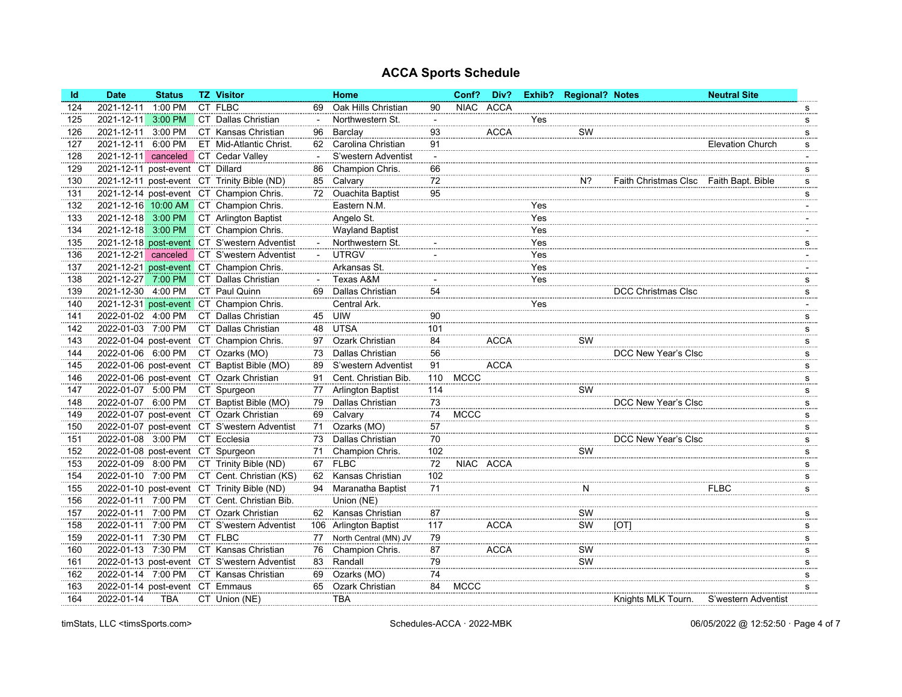| <b>Id</b> | <b>Date</b>                       | <b>Status</b> | <b>TZ Visitor</b>                            |     | Home                     |                          | Conf?       | Div?        |     | Exhib? Regional? Notes |                                        | <b>Neutral Site</b>     |                          |
|-----------|-----------------------------------|---------------|----------------------------------------------|-----|--------------------------|--------------------------|-------------|-------------|-----|------------------------|----------------------------------------|-------------------------|--------------------------|
| 124       | 2021-12-11                        | 1:00 PM       | CT FLBC                                      | 69  | Oak Hills Christian      | 90                       | <b>NIAC</b> | ACCA        |     |                        |                                        |                         | S                        |
| 125       | 2021-12-11                        | 3:00 PM       | CT Dallas Christian                          |     | Northwestern St.         | $\overline{\phantom{a}}$ |             |             | Yes |                        |                                        |                         | s                        |
| 126       | 2021-12-11 3:00 PM                |               | CT Kansas Christian                          | 96  | Barclay                  | 93                       |             | <b>ACCA</b> |     | SW                     |                                        |                         | s                        |
| 127       | 2021-12-11                        | 6:00 PM       | ET Mid-Atlantic Christ.                      | 62. | Carolina Christian       | 91                       |             |             |     |                        |                                        | <b>Elevation Church</b> | s                        |
| 128       | 2021-12-11                        | canceled      | CT Cedar Valley                              |     | S'western Adventist      |                          |             |             |     |                        |                                        |                         |                          |
| 129       | 2021-12-11 post-event CT Dillard  |               |                                              | 86  | Champion Chris.          | 66                       |             |             |     |                        |                                        |                         | s                        |
| 130       |                                   |               | 2021-12-11 post-event CT Trinity Bible (ND)  | 85  | Calvary                  | 72                       |             |             |     | $N$ ?                  | Faith Christmas Clsc Faith Bapt. Bible |                         | s                        |
| 131       |                                   |               | 2021-12-14 post-event CT Champion Chris.     | 72  | <b>Ouachita Baptist</b>  | 95                       |             |             |     |                        |                                        |                         | s                        |
| 132       |                                   |               | 2021-12-16 10:00 AM CT Champion Chris.       |     | Eastern N.M.             |                          |             |             | Yes |                        |                                        |                         |                          |
| 133       | 2021-12-18 3:00 PM                |               | CT Arlington Baptist                         |     | Angelo St.               |                          |             |             | Yes |                        |                                        |                         |                          |
| 134       | 2021-12-18 3:00 PM                |               | CT Champion Chris.                           |     | <b>Wayland Baptist</b>   |                          |             |             | Yes |                        |                                        |                         |                          |
| 135       |                                   |               | 2021-12-18 post-event CT S'western Adventist |     | Northwestern St.         |                          |             |             | Yes |                        |                                        |                         | s                        |
| 136       | 2021-12-21                        | canceled      | CT S'western Adventist                       |     | <b>UTRGV</b>             |                          |             |             | Yes |                        |                                        |                         |                          |
| 137       |                                   |               | 2021-12-21 post-event CT Champion Chris.     |     | Arkansas St.             |                          |             |             | Yes |                        |                                        |                         |                          |
| 138       | 2021-12-27 7:00 PM                |               | CT Dallas Christian                          |     | Texas A&M                |                          |             |             | Yes |                        |                                        |                         | s                        |
| 139       | 2021-12-30 4:00 PM                |               | CT Paul Quinn                                | 69. | Dallas Christian         | 54                       |             |             |     |                        | DCC Christmas Clsc                     |                         | s                        |
| 140       |                                   |               | 2021-12-31 post-event CT Champion Chris.     |     | Central Ark.             |                          |             |             | Yes |                        |                                        |                         |                          |
| 141       | 2022-01-02 4:00 PM                |               | CT Dallas Christian                          | 45  | UIW                      | 90                       |             |             |     |                        |                                        |                         | s                        |
| 142       | 2022-01-03 7:00 PM                |               | CT Dallas Christian                          | 48  | <b>UTSA</b>              | 101                      |             |             |     |                        |                                        |                         | ${\bf s}$                |
| 143       |                                   |               | 2022-01-04 post-event CT Champion Chris.     | 97  | Ozark Christian          | 84                       |             | <b>ACCA</b> |     | SW                     |                                        |                         | s                        |
| 144       | 2022-01-06 6:00 PM                |               | CT Ozarks (MO)                               | 73  | Dallas Christian         | 56                       |             |             |     |                        | DCC New Year's Clsc                    |                         | s                        |
| 145       |                                   |               | 2022-01-06 post-event CT Baptist Bible (MO)  | 89  | S'western Adventist      | 91                       |             | <b>ACCA</b> |     |                        |                                        |                         | s                        |
| 146       |                                   |               | 2022-01-06 post-event CT Ozark Christian     | 91  | Cent. Christian Bib.     | 110                      | <b>MCCC</b> |             |     |                        |                                        |                         | s                        |
| 147       | 2022-01-07 5:00 PM                |               | CT Spurgeon                                  | 77  | <b>Arlington Baptist</b> | 114                      |             |             |     | SW                     |                                        |                         | S                        |
| 148       | 2022-01-07 6:00 PM                |               | CT Baptist Bible (MO)                        | 79  | <b>Dallas Christian</b>  | 73                       |             |             |     |                        | DCC New Year's Clsc                    |                         | s                        |
| 149       |                                   |               | 2022-01-07 post-event CT Ozark Christian     | 69  | Calvary                  | 74                       | <b>MCCC</b> |             |     |                        |                                        |                         | s                        |
| 150       |                                   |               | 2022-01-07 post-event CT S'western Adventist | 71  | Ozarks (MO)              | 57                       |             |             |     |                        |                                        |                         | s                        |
| 151       | 2022-01-08 3:00 PM                |               | CT Ecclesia                                  | 73. | Dallas Christian         | 70                       |             |             |     |                        | DCC New Year's Clsc                    |                         | $\mathbf s$              |
| 152       | 2022-01-08 post-event CT Spurgeon |               |                                              | 71  | Champion Chris.          | 102                      |             |             |     | SW                     |                                        |                         | S                        |
| 153       | 2022-01-09 8:00 PM                |               | CT Trinity Bible (ND)                        |     | 67 FLBC                  | 72                       | NIAC ACCA   |             |     |                        |                                        |                         | s                        |
| 154       | 2022-01-10 7:00 PM                |               | CT Cent. Christian (KS)                      | 62. | Kansas Christian         | 102                      |             |             |     |                        |                                        |                         | s                        |
| 155       |                                   |               | 2022-01-10 post-event CT Trinity Bible (ND)  | 94  | Maranatha Baptist        | 71                       |             |             |     | N                      |                                        | <b>FLBC</b>             | s                        |
| 156       | 2022-01-11 7:00 PM                |               | CT Cent. Christian Bib.                      |     | Union (NE)               |                          |             |             |     |                        |                                        |                         |                          |
| 157       | 2022-01-11 7:00 PM                |               | CT Ozark Christian                           |     | 62 Kansas Christian      | 87                       |             |             |     | SW                     |                                        |                         | $\underline{\mathbf{S}}$ |
| 158       | 2022-01-11 7:00 PM                |               | CT S'western Adventist                       |     | 106 Arlington Baptist    | 117                      |             | <b>ACCA</b> |     | SW                     | [OT]                                   |                         | s                        |
| 159       | 2022-01-11 7:30 PM                |               | CT FLBC                                      | 77  | North Central (MN) JV    | 79                       |             |             |     |                        |                                        |                         | s                        |
| 160       | 2022-01-13                        | 7:30 PM       | CT Kansas Christian                          | 76  | Champion Chris.          | 87                       |             | <b>ACCA</b> |     | SW                     |                                        |                         | s                        |
| 161       |                                   |               | 2022-01-13 post-event CT S'western Adventist | 83  | Randall                  | 79                       |             |             |     | SW                     |                                        |                         | S                        |
| 162       | 2022-01-14 7:00 PM                |               | CT Kansas Christian                          | 69  | Ozarks (MO)              | 74                       |             |             |     |                        |                                        |                         | $\mathbf{s}$             |
| 163       | 2022-01-14 post-event CT Emmaus   |               |                                              | 65  | Ozark Christian          | 84                       | <b>MCCC</b> |             |     |                        |                                        |                         | s                        |
| 164       | 2022-01-14                        | <b>TBA</b>    | CT Union (NE)                                |     | <b>TBA</b>               |                          |             |             |     |                        | Knights MLK Tourn.                     | S'western Adventist     |                          |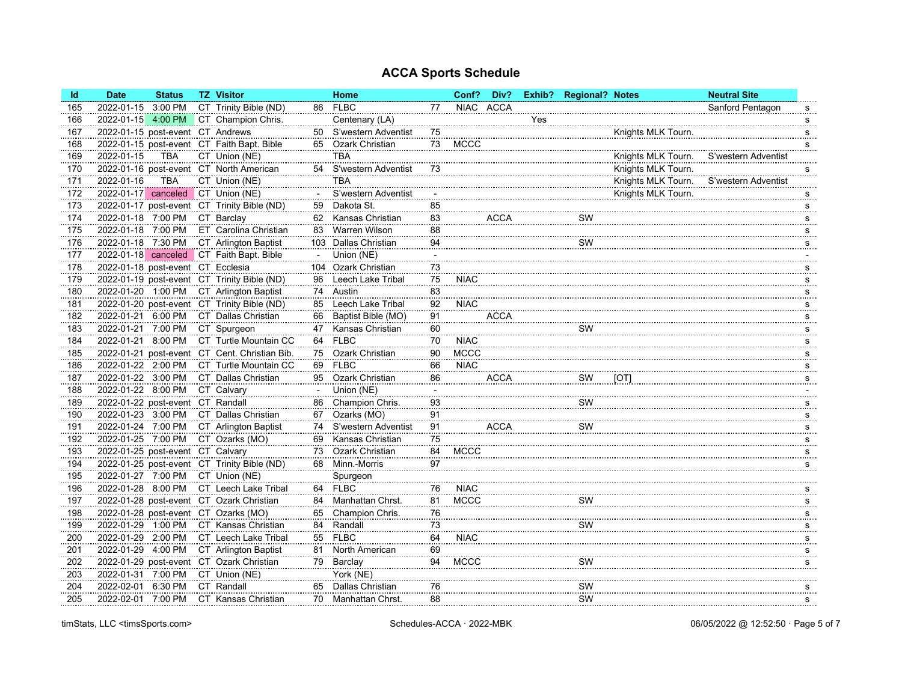| <b>FLBC</b><br>3:00 PM<br>CT Trinity Bible (ND)<br>NIAC ACCA<br>2022-01-15<br>86<br>77<br>165                       | Sanford Pentagon<br>$\underline{\mathbf{S}}$ |
|---------------------------------------------------------------------------------------------------------------------|----------------------------------------------|
| CT Champion Chris.<br>Centenary (LA)<br>Yes<br>2022-01-15<br>4:00 PM<br>166                                         | $\mathbf{s}$                                 |
| 2022-01-15 post-event CT Andrews<br>50 S'western Adventist<br>75<br>167                                             | Knights MLK Tourn.<br>$S_{\ldots}$           |
| <b>MCCC</b><br>2022-01-15 post-event CT Faith Bapt. Bible<br>65 Ozark Christian<br>73<br>168                        | s                                            |
| 2022-01-15<br><b>TBA</b><br><b>TBA</b><br>CT Union (NE)<br>169                                                      | Knights MLK Tourn.<br>S'western Adventist    |
| 2022-01-16 post-event CT North American<br>S'western Adventist<br>73<br>54<br>170                                   | Knights MLK Tourn.<br>s                      |
| <b>TBA</b><br>CT Union (NE)<br><b>TBA</b><br>2022-01-16<br>171                                                      | Knights MLK Tourn.<br>S'western Adventist    |
| 2022-01-17 canceled CT Union (NE)<br>S'western Adventist<br>172                                                     | Knights MLK Tourn.<br>$S_{\ldots}$           |
| Dakota St.<br>2022-01-17 post-event CT Trinity Bible (ND)<br>85<br>173<br>59                                        | $\frac{S}{\cdots}$                           |
| 2022-01-18 7:00 PM<br>CT Barclay<br>Kansas Christian<br>83<br><b>ACCA</b><br>SW<br>174<br>62                        | $\overline{\mathbf{s}}$                      |
| 2022-01-18 7:00 PM<br>ET Carolina Christian<br>Warren Wilson<br>88<br>175<br>83                                     | s                                            |
| 2022-01-18 7:30 PM<br>CT Arlington Baptist<br>94<br>103 Dallas Christian<br>SW<br>176                               | s                                            |
| 2022-01-18 canceled CT Faith Bapt. Bible<br>Union (NE)<br>177                                                       |                                              |
| 2022-01-18 post-event CT Ecclesia<br>Ozark Christian<br>73<br>178<br>104                                            | s                                            |
| 2022-01-19 post-event CT Trinity Bible (ND)<br>75<br><b>NIAC</b><br>Leech Lake Tribal<br>179<br>96                  | s                                            |
| 83<br>2022-01-20 1:00 PM<br>CT Arlington Baptist<br>Austin<br>180<br>74                                             | s                                            |
| 2022-01-20 post-event CT Trinity Bible (ND)<br>Leech Lake Tribal<br>92<br><b>NIAC</b><br>85<br>181                  | $\mathbf{s}$                                 |
| 2022-01-21 6:00 PM<br>CT Dallas Christian<br>Baptist Bible (MO)<br>91<br><b>ACCA</b><br>182<br>66                   | S                                            |
| 2022-01-21 7:00 PM<br>CT Spurgeon<br>SW<br>Kansas Christian<br>60<br>183<br>47                                      | $\overline{\mathbf{s}}$                      |
| CT Turtle Mountain CC<br><b>FLBC</b><br><b>NIAC</b><br>2022-01-21 8:00 PM<br>64<br>70<br>184                        | s                                            |
| 2022-01-21 post-event CT Cent. Christian Bib.<br>Ozark Christian<br><b>MCCC</b><br>185<br>75<br>90                  | s                                            |
| 2022-01-22 2:00 PM<br>69 FLBC<br><b>NIAC</b><br>CT Turtle Mountain CC<br>186<br>66                                  | s                                            |
| 2022-01-22 3:00 PM<br>CT Dallas Christian<br><b>Ozark Christian</b><br><b>ACCA</b><br>SW<br>86<br>187<br>95<br>[OT] | s                                            |
| 2022-01-22 8:00 PM<br>CT Calvary<br>Union (NE)<br>188<br>$\mathcal{L}$                                              |                                              |
| SW<br>2022-01-22 post-event CT Randall<br>Champion Chris.<br>93<br>189<br>86                                        | s                                            |
| 2022-01-23 3:00 PM<br>CT Dallas Christian<br>Ozarks (MO)<br>91<br>190<br>67                                         | s                                            |
| 2022-01-24 7:00 PM<br>CT Arlington Baptist<br>74 S'western Adventist<br>91<br><b>ACCA</b><br>SW<br>191              | s                                            |
| 2022-01-25 7:00 PM<br>CT Ozarks (MO)<br>75<br>Kansas Christian<br>192<br>69                                         | S                                            |
| 2022-01-25 post-event CT Calvary<br>84<br><b>MCCC</b><br>Ozark Christian<br>193<br>73                               | s                                            |
| 2022-01-25 post-event CT Trinity Bible (ND)<br>68 Minn.-Morris<br>97<br>194                                         | s                                            |
| 2022-01-27 7:00 PM<br>CT Union (NE)<br>195<br>Spurgeon                                                              |                                              |
| <b>FLBC</b><br>2022-01-28 8:00 PM<br>CT Leech Lake Tribal<br><b>NIAC</b><br>76<br>196<br>64                         | s                                            |
| 81<br><b>MCCC</b><br>2022-01-28 post-event CT Ozark Christian<br>Manhattan Chrst.<br>SW<br>84<br>197                | $\underline{\mathbf{S}}$                     |
| 2022-01-28 post-event CT Ozarks (MO)<br>Champion Chris.<br>76<br>198<br>65                                          | s                                            |
| 2022-01-29 1:00 PM<br>CT Kansas Christian<br>SW<br>Randall<br>199<br>84<br>73                                       | s                                            |
| 64<br>2022-01-29 2:00 PM<br>55 FLBC<br><b>NIAC</b><br>CT Leech Lake Tribal<br>200                                   | S                                            |
| 2022-01-29 4:00 PM<br>CT Arlington Baptist<br>North American<br>69<br>201<br>81                                     | $\underline{\mathbf{S}}$                     |
| 2022-01-29 post-event CT Ozark Christian<br><b>MCCC</b><br>SW<br>202<br>79<br>Barclay<br>94                         | s                                            |
| 2022-01-31 7:00 PM<br>CT Union (NE)<br>203<br>York (NE)                                                             |                                              |
| 2022-02-01 6:30 PM<br>CT Randall<br>Dallas Christian<br>76<br>204<br>65<br>SW                                       | s                                            |
| SW<br>2022-02-01 7:00 PM<br>CT Kansas Christian<br>88<br>205<br>70 Manhattan Chrst.                                 | s                                            |

timStats, LLC <timsSports.com> 06/05/2022 @ 12:52:50 · Page 5 of 7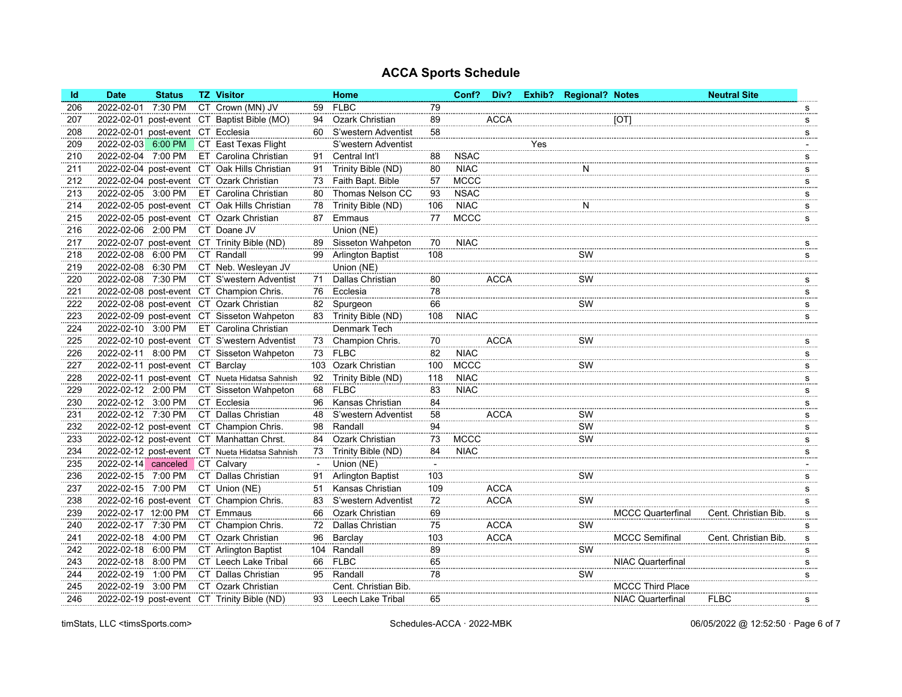| <b>Id</b> | <b>Date</b>                       | <b>Status</b> | <b>TZ Visitor</b>                              |     | Home                   |                          | Conf?       | Div?        |     | Exhib? Regional? Notes |                          | <b>Neutral Site</b>  |   |
|-----------|-----------------------------------|---------------|------------------------------------------------|-----|------------------------|--------------------------|-------------|-------------|-----|------------------------|--------------------------|----------------------|---|
| 206       | 2022-02-01                        | 7:30 PM       | CT Crown (MN) JV                               | 59  | <b>FLBC</b>            | 79                       |             |             |     |                        |                          |                      | s |
| 207       |                                   |               | 2022-02-01 post-event CT Baptist Bible (MO)    | 94  | Ozark Christian        | 89                       |             | <b>ACCA</b> |     |                        | [OT]                     |                      | s |
| 208       | 2022-02-01 post-event CT Ecclesia |               |                                                |     | 60 S'western Adventist | 58                       |             |             |     |                        |                          |                      | s |
| 209       | 2022-02-03                        |               | 6:00 PM CT East Texas Flight                   |     | S'western Adventist    |                          |             |             | Yes |                        |                          |                      |   |
| 210       | 2022-02-04 7:00 PM                |               | ET Carolina Christian                          | 91  | Central Int'l          | 88                       | <b>NSAC</b> |             |     |                        |                          |                      | s |
| 211       |                                   |               | 2022-02-04 post-event CT Oak Hills Christian   | 91  | Trinity Bible (ND)     | 80                       | <b>NIAC</b> |             |     | N                      |                          |                      | s |
| 212       |                                   |               | 2022-02-04 post-event CT Ozark Christian       |     | 73 Faith Bapt. Bible   | 57                       | <b>MCCC</b> |             |     |                        |                          |                      | s |
| 213       | 2022-02-05 3:00 PM                |               | ET Carolina Christian                          | 80  | Thomas Nelson CC       | 93                       | <b>NSAC</b> |             |     |                        |                          |                      | s |
| 214       |                                   |               | 2022-02-05 post-event CT Oak Hills Christian   | 78. | Trinity Bible (ND)     | 106                      | <b>NIAC</b> |             |     | N                      |                          |                      | S |
| 215       |                                   |               | 2022-02-05 post-event CT Ozark Christian       | 87  | Emmaus                 | 77                       | <b>MCCC</b> |             |     |                        |                          |                      | s |
| 216       | 2022-02-06 2:00 PM                |               | CT Doane JV                                    |     | Union (NE)             |                          |             |             |     |                        |                          |                      |   |
| 217       |                                   |               | 2022-02-07 post-event CT Trinity Bible (ND)    |     | 89 Sisseton Wahpeton   | 70                       | <b>NIAC</b> |             |     |                        |                          |                      | s |
| 218       | 2022-02-08 6:00 PM                |               | CT Randall                                     |     | 99 Arlington Baptist   | 108                      |             |             |     | SW                     |                          |                      | s |
| 219       | 2022-02-08 6:30 PM                |               | CT Neb. Wesleyan JV                            |     | Union (NE)             |                          |             |             |     |                        |                          |                      |   |
| 220       | 2022-02-08                        | 7:30 PM       | CT S'western Adventist                         | 71  | Dallas Christian       | 80                       |             | <b>ACCA</b> |     | SW                     |                          |                      | s |
| 221       |                                   |               | 2022-02-08 post-event CT Champion Chris.       | 76  | Ecclesia               | 78                       |             |             |     |                        |                          |                      | s |
| 222       |                                   |               | 2022-02-08 post-event CT Ozark Christian       |     | 82 Spurgeon            | 66                       |             |             |     | SW                     |                          |                      | s |
| 223       |                                   |               | 2022-02-09 post-event CT Sisseton Wahpeton     |     | 83 Trinity Bible (ND)  | 108                      | <b>NIAC</b> |             |     |                        |                          |                      | s |
| 224       | 2022-02-10 3:00 PM                |               | ET Carolina Christian                          |     | Denmark Tech           |                          |             |             |     |                        |                          |                      |   |
| 225       |                                   |               | 2022-02-10 post-event CT S'western Adventist   |     | 73 Champion Chris.     | 70                       |             | <b>ACCA</b> |     | SW                     |                          |                      | s |
| 226       |                                   |               | 2022-02-11 8:00 PM CT Sisseton Wahpeton        |     | 73 FLBC                | 82                       | <b>NIAC</b> |             |     |                        |                          |                      | s |
| 227       | 2022-02-11 post-event CT Barclay  |               |                                                |     | 103 Ozark Christian    | 100                      | <b>MCCC</b> |             |     | SW                     |                          |                      | s |
| 228       |                                   |               | 2022-02-11 post-event CT Nueta Hidatsa Sahnish |     | 92 Trinity Bible (ND)  | 118                      | <b>NIAC</b> |             |     |                        |                          |                      | s |
| 229       | 2022-02-12 2:00 PM                |               | CT Sisseton Wahpeton                           | 68  | <b>FLBC</b>            | 83                       | <b>NIAC</b> |             |     |                        |                          |                      | s |
| 230       | 2022-02-12 3:00 PM                |               | CT Ecclesia                                    | 96  | Kansas Christian       | 84                       |             |             |     |                        |                          |                      | s |
| 231       | 2022-02-12 7:30 PM                |               | CT Dallas Christian                            | 48  | S'western Adventist    | 58                       |             | <b>ACCA</b> |     | SW                     |                          |                      | s |
| 232       |                                   |               | 2022-02-12 post-event CT Champion Chris.       |     | 98 Randall             | 94                       |             |             |     | SW                     |                          |                      | s |
| 233       |                                   |               | 2022-02-12 post-event CT Manhattan Chrst.      | 84  | Ozark Christian        | 73                       | <b>MCCC</b> |             |     | SW                     |                          |                      | S |
| 234       |                                   |               | 2022-02-12 post-event CT Nueta Hidatsa Sahnish | 73  | Trinity Bible (ND)     | 84                       | <b>NIAC</b> |             |     |                        |                          |                      | s |
| 235       | 2022-02-14 canceled CT Calvary    |               |                                                |     | Union (NE)             | $\overline{\phantom{a}}$ |             |             |     |                        |                          |                      |   |
| 236       | 2022-02-15 7:00 PM                |               | CT Dallas Christian                            |     | 91 Arlington Baptist   | 103                      |             |             |     | <b>SW</b>              |                          |                      | s |
| 237       | 2022-02-15 7:00 PM                |               | CT Union (NE)                                  | 51  | Kansas Christian       | 109                      |             | <b>ACCA</b> |     |                        |                          |                      | s |
| 238       |                                   |               | 2022-02-16 post-event CT Champion Chris.       | 83  | S'western Adventist    | 72                       |             | <b>ACCA</b> |     | SW                     |                          |                      | s |
| 239       | 2022-02-17 12:00 PM CT Emmaus     |               |                                                | 66  | Ozark Christian        | 69                       |             |             |     |                        | <b>MCCC Quarterfinal</b> | Cent. Christian Bib. | s |
| 240       | 2022-02-17 7:30 PM                |               | CT Champion Chris.                             | 72  | Dallas Christian       | 75                       |             | <b>ACCA</b> |     | SW                     |                          |                      | s |
| 241       | 2022-02-18 4:00 PM                |               | CT Ozark Christian                             | 96  | Barclay                | 103                      |             | <b>ACCA</b> |     |                        | <b>MCCC Semifinal</b>    | Cent. Christian Bib. | s |
| 242       | 2022-02-18                        | 6:00 PM       | CT Arlington Baptist                           |     | 104 Randall            | 89                       |             |             |     | SW                     |                          |                      | S |
| 243       | 2022-02-18 8:00 PM                |               | CT Leech Lake Tribal                           | 66  | <b>FLBC</b>            | 65                       |             |             |     |                        | <b>NIAC Quarterfinal</b> |                      | s |
| 244       | 2022-02-19 1:00 PM                |               | CT Dallas Christian                            |     | 95 Randall             | 78                       |             |             |     | SW                     |                          |                      | s |
| 245       | 2022-02-19 3:00 PM                |               | CT Ozark Christian                             |     | Cent. Christian Bib.   |                          |             |             |     |                        | <b>MCCC Third Place</b>  |                      |   |
| 246       |                                   |               | 2022-02-19 post-event CT Trinity Bible (ND)    |     | 93 Leech Lake Tribal   | 65                       |             |             |     |                        | <b>NIAC Quarterfinal</b> | <b>FLBC</b>          | s |

timStats, LLC <timsSports.com> 06/05/2022 @ 12:52:50 · Page 6 of 7